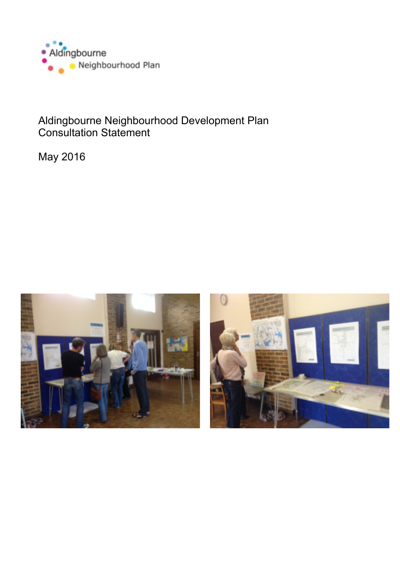

# Aldingbourne Neighbourhood Development Plan Consultation Statement

May 2016

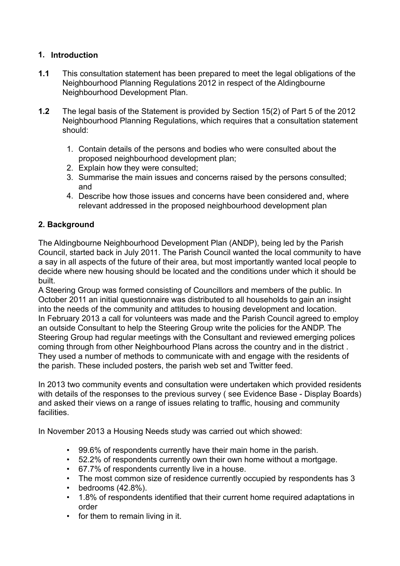## **1. Introduction**

- **1.1** This consultation statement has been prepared to meet the legal obligations of the Neighbourhood Planning Regulations 2012 in respect of the Aldingbourne Neighbourhood Development Plan.
- **1.2** The legal basis of the Statement is provided by Section 15(2) of Part 5 of the 2012 Neighbourhood Planning Regulations, which requires that a consultation statement should:
	- 1. Contain details of the persons and bodies who were consulted about the proposed neighbourhood development plan;
	- 2. Explain how they were consulted;
	- 3. Summarise the main issues and concerns raised by the persons consulted; and
	- 4. Describe how those issues and concerns have been considered and, where relevant addressed in the proposed neighbourhood development plan

### **2. Background**

The Aldingbourne Neighbourhood Development Plan (ANDP), being led by the Parish Council, started back in July 2011. The Parish Council wanted the local community to have a say in all aspects of the future of their area, but most importantly wanted local people to decide where new housing should be located and the conditions under which it should be built.

A Steering Group was formed consisting of Councillors and members of the public. In October 2011 an initial questionnaire was distributed to all households to gain an insight into the needs of the community and attitudes to housing development and location. In February 2013 a call for volunteers was made and the Parish Council agreed to employ an outside Consultant to help the Steering Group write the policies for the ANDP. The Steering Group had regular meetings with the Consultant and reviewed emerging polices coming through from other Neighbourhood Plans across the country and in the district . They used a number of methods to communicate with and engage with the residents of the parish. These included posters, the parish web set and Twitter feed.

In 2013 two community events and consultation were undertaken which provided residents with details of the responses to the previous survey ( see Evidence Base - Display Boards) and asked their views on a range of issues relating to traffic, housing and community facilities.

In November 2013 a Housing Needs study was carried out which showed:

- 99.6% of respondents currently have their main home in the parish.
- 52.2% of respondents currently own their own home without a mortgage.
- 67.7% of respondents currently live in a house.
- The most common size of residence currently occupied by respondents has 3
- bedrooms  $(42.8\%)$ .
- 1.8% of respondents identified that their current home required adaptations in order
- for them to remain living in it.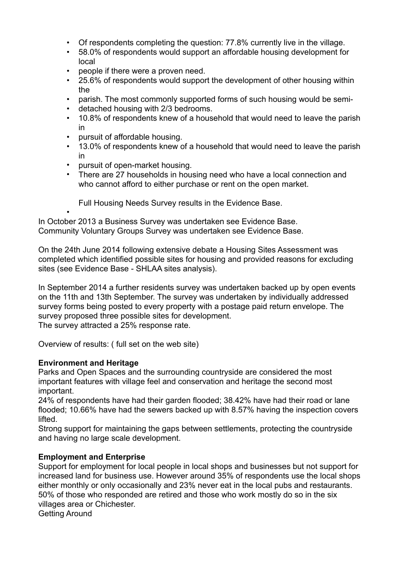- Of respondents completing the question: 77.8% currently live in the village.
- 58.0% of respondents would support an affordable housing development for local
- people if there were a proven need.
- 25.6% of respondents would support the development of other housing within the
- parish. The most commonly supported forms of such housing would be semi-
- detached housing with 2/3 bedrooms.
- 10.8% of respondents knew of a household that would need to leave the parish in
- pursuit of affordable housing.
- 13.0% of respondents knew of a household that would need to leave the parish in
- pursuit of open-market housing.
- There are 27 households in housing need who have a local connection and who cannot afford to either purchase or rent on the open market.
	- Full Housing Needs Survey results in the Evidence Base.

• In October 2013 a Business Survey was undertaken see Evidence Base. Community Voluntary Groups Survey was undertaken see Evidence Base.

On the 24th June 2014 following extensive debate a Housing Sites Assessment was completed which identified possible sites for housing and provided reasons for excluding sites (see Evidence Base - SHLAA sites analysis).

In September 2014 a further residents survey was undertaken backed up by open events on the 11th and 13th September. The survey was undertaken by individually addressed survey forms being posted to every property with a postage paid return envelope. The survey proposed three possible sites for development. The survey attracted a 25% response rate.

Overview of results: ( full set on the web site)

### **Environment and Heritage**

Parks and Open Spaces and the surrounding countryside are considered the most important features with village feel and conservation and heritage the second most important.

24% of respondents have had their garden flooded; 38.42% have had their road or lane flooded; 10.66% have had the sewers backed up with 8.57% having the inspection covers lifted.

Strong support for maintaining the gaps between settlements, protecting the countryside and having no large scale development.

### **Employment and Enterprise**

Support for employment for local people in local shops and businesses but not support for increased land for business use. However around 35% of respondents use the local shops either monthly or only occasionally and 23% never eat in the local pubs and restaurants. 50% of those who responded are retired and those who work mostly do so in the six villages area or Chichester. Getting Around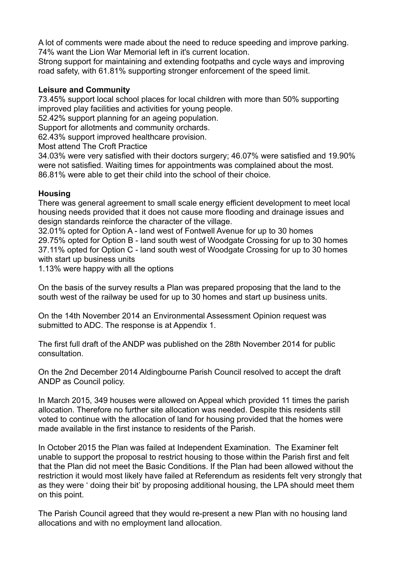A lot of comments were made about the need to reduce speeding and improve parking. 74% want the Lion War Memorial left in it's current location.

Strong support for maintaining and extending footpaths and cycle ways and improving road safety, with 61.81% supporting stronger enforcement of the speed limit.

#### **Leisure and Community**

73.45% support local school places for local children with more than 50% supporting improved play facilities and activities for young people.

52.42% support planning for an ageing population.

Support for allotments and community orchards.

62.43% support improved healthcare provision.

Most attend The Croft Practice

34.03% were very satisfied with their doctors surgery; 46.07% were satisfied and 19.90% were not satisfied. Waiting times for appointments was complained about the most. 86.81% were able to get their child into the school of their choice.

#### **Housing**

There was general agreement to small scale energy efficient development to meet local housing needs provided that it does not cause more flooding and drainage issues and design standards reinforce the character of the village.

32.01% opted for Option A - land west of Fontwell Avenue for up to 30 homes 29.75% opted for Option B - land south west of Woodgate Crossing for up to 30 homes 37.11% opted for Option C - land south west of Woodgate Crossing for up to 30 homes with start up business units

1.13% were happy with all the options

On the basis of the survey results a Plan was prepared proposing that the land to the south west of the railway be used for up to 30 homes and start up business units.

On the 14th November 2014 an Environmental Assessment Opinion request was submitted to ADC. The response is at Appendix 1.

The first full draft of the ANDP was published on the 28th November 2014 for public consultation.

On the 2nd December 2014 Aldingbourne Parish Council resolved to accept the draft ANDP as Council policy.

In March 2015, 349 houses were allowed on Appeal which provided 11 times the parish allocation. Therefore no further site allocation was needed. Despite this residents still voted to continue with the allocation of land for housing provided that the homes were made available in the first instance to residents of the Parish.

In October 2015 the Plan was failed at Independent Examination. The Examiner felt unable to support the proposal to restrict housing to those within the Parish first and felt that the Plan did not meet the Basic Conditions. If the Plan had been allowed without the restriction it would most likely have failed at Referendum as residents felt very strongly that as they were ' doing their bit' by proposing additional housing, the LPA should meet them on this point.

The Parish Council agreed that they would re-present a new Plan with no housing land allocations and with no employment land allocation.